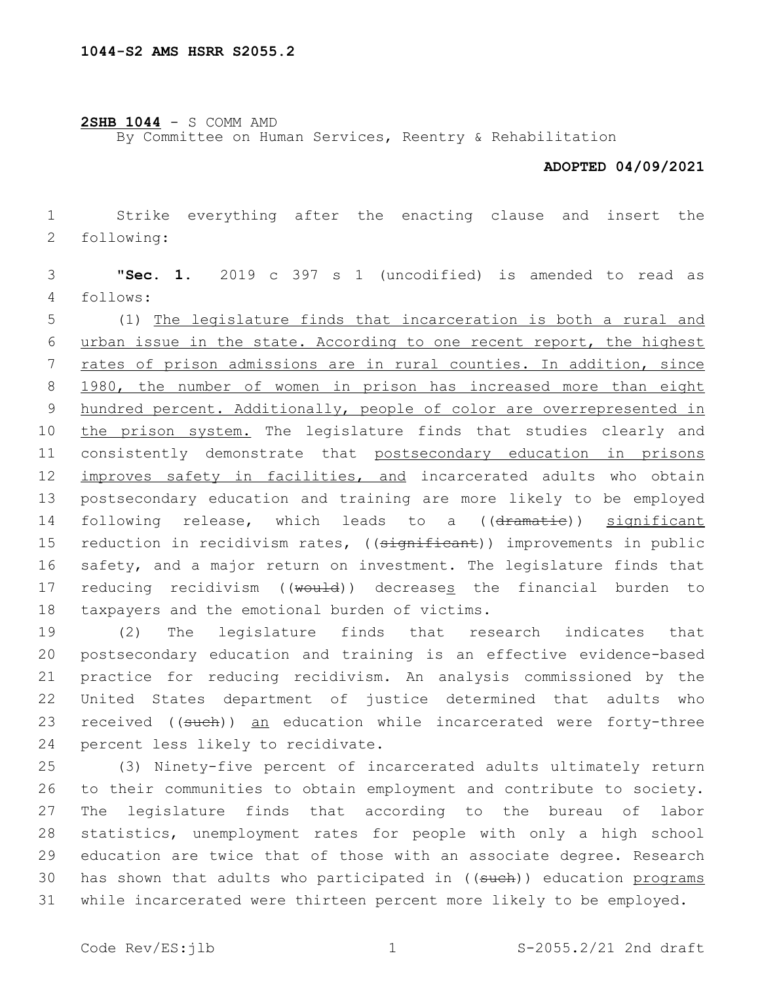## **2SHB 1044** - S COMM AMD

By Committee on Human Services, Reentry & Rehabilitation

## **ADOPTED 04/09/2021**

1 Strike everything after the enacting clause and insert the 2 following:

3 "**Sec. 1.** 2019 c 397 s 1 (uncodified) is amended to read as follows:4

5 (1) The legislature finds that incarceration is both a rural and 6 urban issue in the state. According to one recent report, the highest 7 rates of prison admissions are in rural counties. In addition, since 8 1980, the number of women in prison has increased more than eight 9 hundred percent. Additionally, people of color are overrepresented in 10 the prison system. The legislature finds that studies clearly and 11 consistently demonstrate that postsecondary education in prisons 12 improves safety in facilities, and incarcerated adults who obtain 13 postsecondary education and training are more likely to be employed 14 following release, which leads to a ((dramatie)) significant 15 reduction in recidivism rates, ((significant)) improvements in public 16 safety, and a major return on investment. The legislature finds that 17 reducing recidivism ((would)) decreases the financial burden to 18 taxpayers and the emotional burden of victims.

 (2) The legislature finds that research indicates that postsecondary education and training is an effective evidence-based practice for reducing recidivism. An analysis commissioned by the United States department of justice determined that adults who 23 received ((such)) an education while incarcerated were forty-three 24 percent less likely to recidivate.

 (3) Ninety-five percent of incarcerated adults ultimately return to their communities to obtain employment and contribute to society. The legislature finds that according to the bureau of labor statistics, unemployment rates for people with only a high school education are twice that of those with an associate degree. Research 30 has shown that adults who participated in ((sueh)) education programs while incarcerated were thirteen percent more likely to be employed.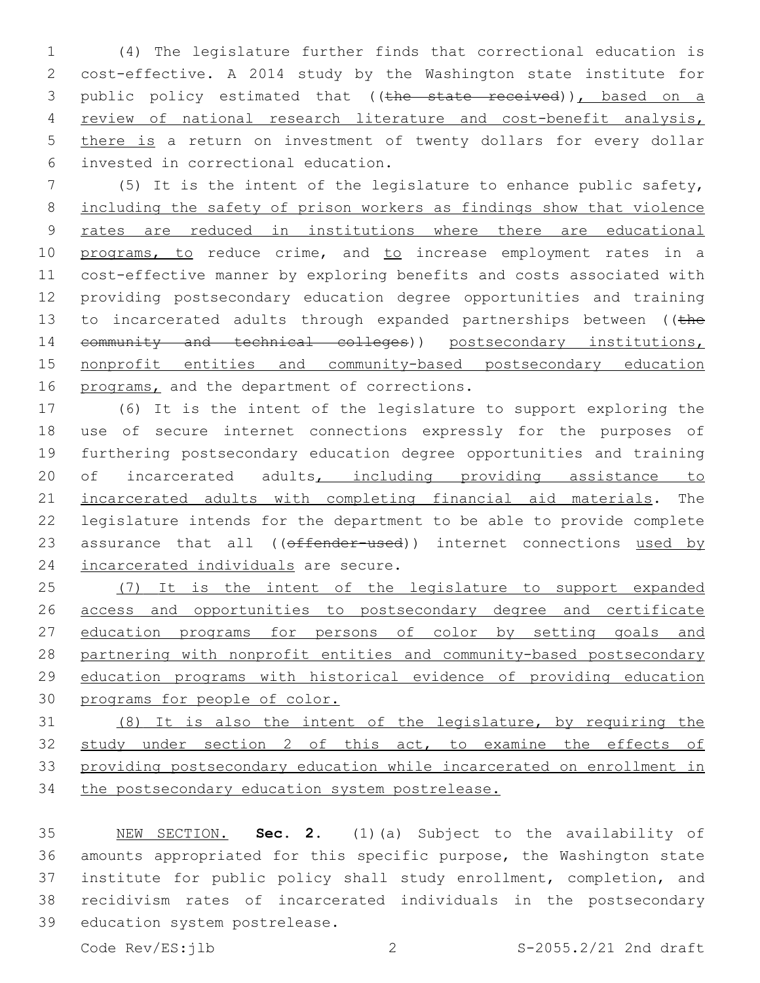(4) The legislature further finds that correctional education is cost-effective. A 2014 study by the Washington state institute for 3 public policy estimated that ((the state received)), based on a review of national research literature and cost-benefit analysis, 5 there is a return on investment of twenty dollars for every dollar invested in correctional education.6

 (5) It is the intent of the legislature to enhance public safety, including the safety of prison workers as findings show that violence rates are reduced in institutions where there are educational 10 programs, to reduce crime, and to increase employment rates in a cost-effective manner by exploring benefits and costs associated with providing postsecondary education degree opportunities and training 13 to incarcerated adults through expanded partnerships between ((the 14 community and technical colleges)) postsecondary institutions, nonprofit entities and community-based postsecondary education 16 programs, and the department of corrections.

 (6) It is the intent of the legislature to support exploring the use of secure internet connections expressly for the purposes of furthering postsecondary education degree opportunities and training 20 of incarcerated adults, including providing assistance to incarcerated adults with completing financial aid materials. The legislature intends for the department to be able to provide complete 23 assurance that all (( $\theta$ ffender-used)) internet connections used by 24 incarcerated individuals are secure.

 (7) It is the intent of the legislature to support expanded access and opportunities to postsecondary degree and certificate education programs for persons of color by setting goals and partnering with nonprofit entities and community-based postsecondary education programs with historical evidence of providing education programs for people of color.

 (8) It is also the intent of the legislature, by requiring the study under section 2 of this act, to examine the effects of providing postsecondary education while incarcerated on enrollment in 34 the postsecondary education system postrelease.

 NEW SECTION. **Sec. 2.** (1)(a) Subject to the availability of amounts appropriated for this specific purpose, the Washington state institute for public policy shall study enrollment, completion, and recidivism rates of incarcerated individuals in the postsecondary education system postrelease.

Code Rev/ES:jlb 2 S-2055.2/21 2nd draft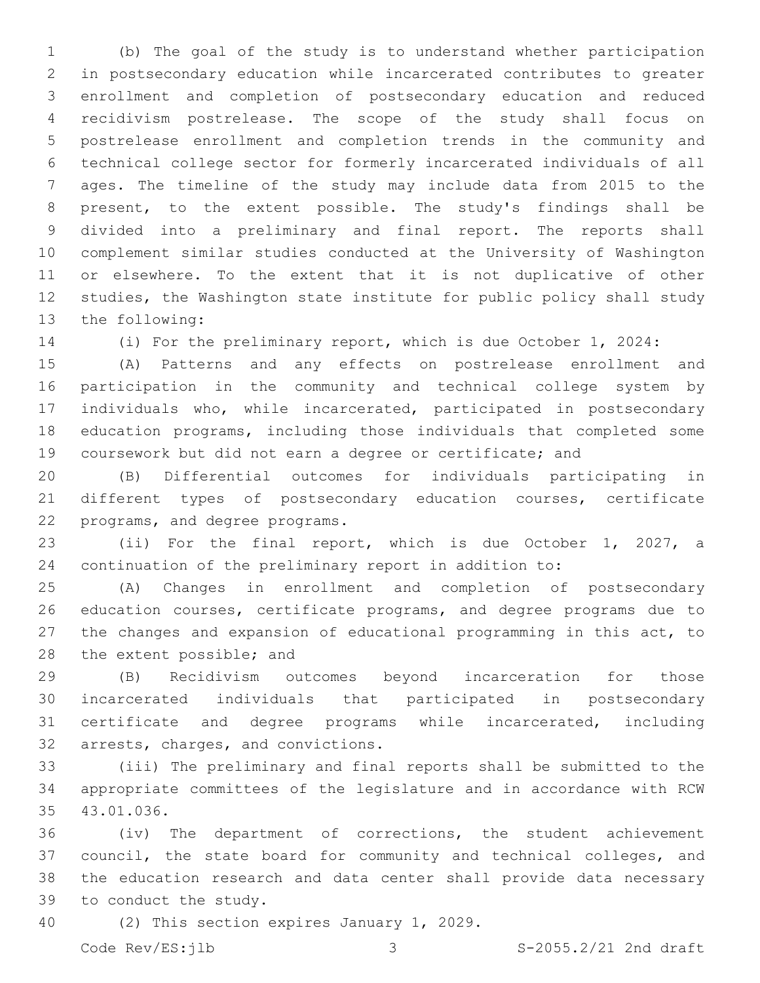(b) The goal of the study is to understand whether participation in postsecondary education while incarcerated contributes to greater enrollment and completion of postsecondary education and reduced recidivism postrelease. The scope of the study shall focus on postrelease enrollment and completion trends in the community and technical college sector for formerly incarcerated individuals of all ages. The timeline of the study may include data from 2015 to the present, to the extent possible. The study's findings shall be divided into a preliminary and final report. The reports shall complement similar studies conducted at the University of Washington or elsewhere. To the extent that it is not duplicative of other studies, the Washington state institute for public policy shall study 13 the following:

(i) For the preliminary report, which is due October 1, 2024:

 (A) Patterns and any effects on postrelease enrollment and participation in the community and technical college system by individuals who, while incarcerated, participated in postsecondary education programs, including those individuals that completed some coursework but did not earn a degree or certificate; and

 (B) Differential outcomes for individuals participating in different types of postsecondary education courses, certificate 22 programs, and degree programs.

 (ii) For the final report, which is due October 1, 2027, a continuation of the preliminary report in addition to:

 (A) Changes in enrollment and completion of postsecondary education courses, certificate programs, and degree programs due to the changes and expansion of educational programming in this act, to 28 the extent possible; and

 (B) Recidivism outcomes beyond incarceration for those incarcerated individuals that participated in postsecondary certificate and degree programs while incarcerated, including 32 arrests, charges, and convictions.

 (iii) The preliminary and final reports shall be submitted to the appropriate committees of the legislature and in accordance with RCW 35 43.01.036.

 (iv) The department of corrections, the student achievement council, the state board for community and technical colleges, and the education research and data center shall provide data necessary 39 to conduct the study.

40 (2) This section expires January 1, 2029.

Code Rev/ES:jlb 3 S-2055.2/21 2nd draft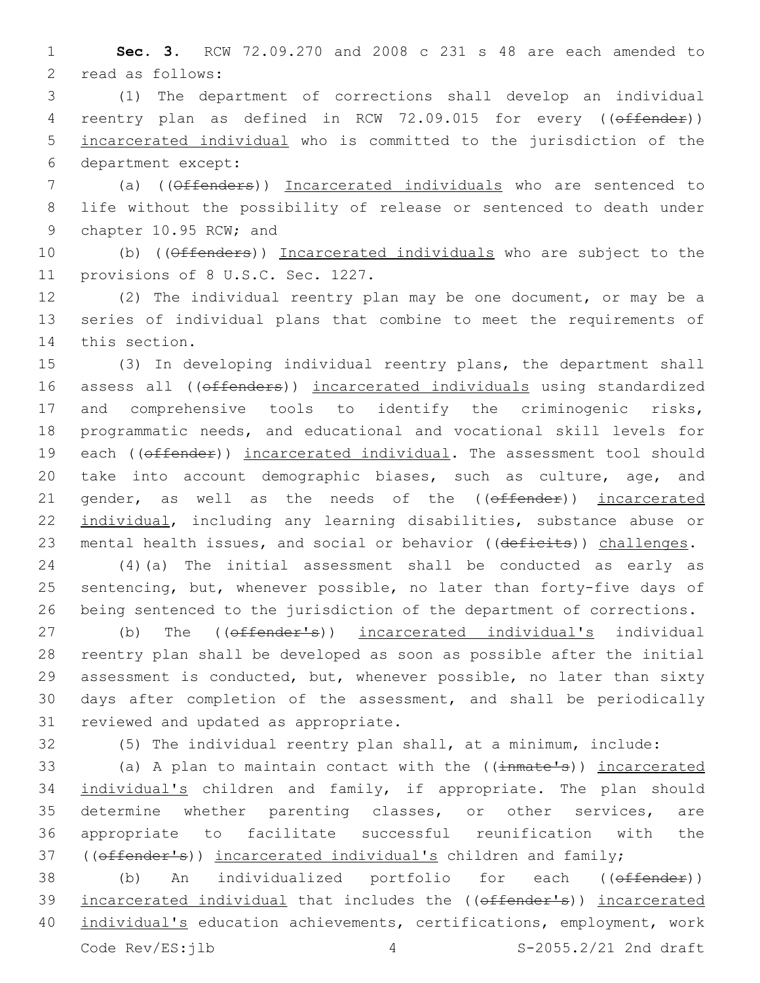1 **Sec. 3.** RCW 72.09.270 and 2008 c 231 s 48 are each amended to 2 read as follows:

3 (1) The department of corrections shall develop an individual 4 reentry plan as defined in RCW 72.09.015 for every ((offender)) 5 incarcerated individual who is committed to the jurisdiction of the department except:6

7 (a) ((Offenders)) Incarcerated individuals who are sentenced to 8 life without the possibility of release or sentenced to death under 9 chapter 10.95 RCW; and

10 (b) ((Offenders)) Incarcerated individuals who are subject to the 11 provisions of 8 U.S.C. Sec. 1227.

12 (2) The individual reentry plan may be one document, or may be a 13 series of individual plans that combine to meet the requirements of 14 this section.

15 (3) In developing individual reentry plans, the department shall 16 assess all ((offenders)) incarcerated individuals using standardized 17 and comprehensive tools to identify the criminogenic risks, 18 programmatic needs, and educational and vocational skill levels for 19 each (( $offender$ )) incarcerated individual. The assessment tool should 20 take into account demographic biases, such as culture, age, and 21 gender, as well as the needs of the ((offender)) incarcerated 22 individual, including any learning disabilities, substance abuse or 23 mental health issues, and social or behavior ((deficits)) challenges.

24 (4)(a) The initial assessment shall be conducted as early as 25 sentencing, but, whenever possible, no later than forty-five days of 26 being sentenced to the jurisdiction of the department of corrections.

27 (b) The (( $\theta$ ffender's)) incarcerated individual's individual 28 reentry plan shall be developed as soon as possible after the initial 29 assessment is conducted, but, whenever possible, no later than sixty 30 days after completion of the assessment, and shall be periodically 31 reviewed and updated as appropriate.

32 (5) The individual reentry plan shall, at a minimum, include:

33 (a) A plan to maintain contact with the ((inmate's)) incarcerated 34 individual's children and family, if appropriate. The plan should 35 determine whether parenting classes, or other services, are 36 appropriate to facilitate successful reunification with the 37 ((offender's)) incarcerated individual's children and family;

38 (b) An individualized portfolio for each ((offender)) 39 incarcerated individual that includes the ((offender's)) incarcerated 40 individual's education achievements, certifications, employment, work Code Rev/ES:jlb 4 S-2055.2/21 2nd draft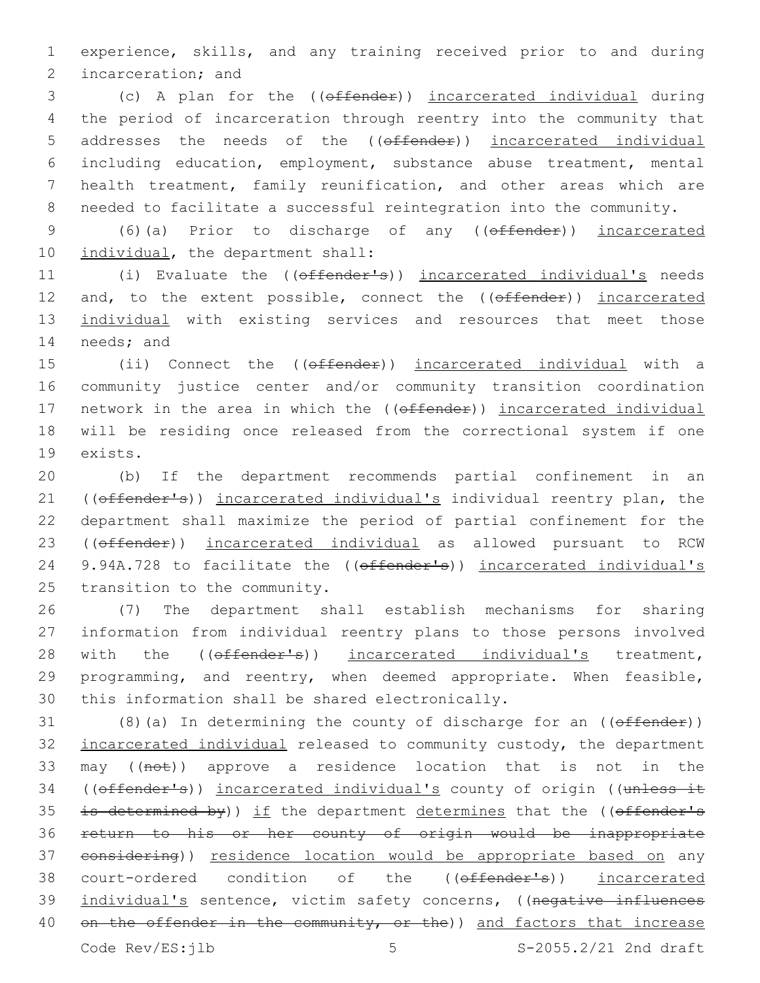1 experience, skills, and any training received prior to and during 2 incarceration; and

 (c) A plan for the ((offender)) incarcerated individual during the period of incarceration through reentry into the community that 5 addresses the needs of the ((offender)) incarcerated individual including education, employment, substance abuse treatment, mental health treatment, family reunification, and other areas which are needed to facilitate a successful reintegration into the community.

9 (6)(a) Prior to discharge of any (( $\theta$ ffender)) incarcerated 10 individual, the department shall:

11 (i) Evaluate the ((offender's)) incarcerated individual's needs 12 and, to the extent possible, connect the ((offender)) incarcerated 13 individual with existing services and resources that meet those 14 needs; and

15 (ii) Connect the ((offender)) incarcerated individual with a 16 community justice center and/or community transition coordination 17 network in the area in which the ((offender)) incarcerated individual 18 will be residing once released from the correctional system if one 19 exists.

20 (b) If the department recommends partial confinement in an 21 ((offender's)) incarcerated individual's individual reentry plan, the 22 department shall maximize the period of partial confinement for the 23 ((offender)) incarcerated individual as allowed pursuant to RCW 24 9.94A.728 to facilitate the ((offender's)) incarcerated individual's 25 transition to the community.

26 (7) The department shall establish mechanisms for sharing 27 information from individual reentry plans to those persons involved 28 with the ((offender's)) incarcerated individual's treatment, 29 programming, and reentry, when deemed appropriate. When feasible, 30 this information shall be shared electronically.

31 (8)(a) In determining the county of discharge for an  $($  ( $\theta$  ffender)) 32 incarcerated individual released to community custody, the department 33 may ((not)) approve a residence location that is not in the 34 ((offender's)) incarcerated individual's county of origin ((unless it 35 is determined by)) if the department determines that the (( $offender's$ 36 return to his or her county of origin would be inappropriate 37 considering)) residence location would be appropriate based on any 38 court-ordered condition of the ((offender's)) incarcerated 39 individual's sentence, victim safety concerns, ((negative influences 40 on the offender in the community, or the)) and factors that increase

Code Rev/ES:ilb 5 5 S-2055.2/21 2nd draft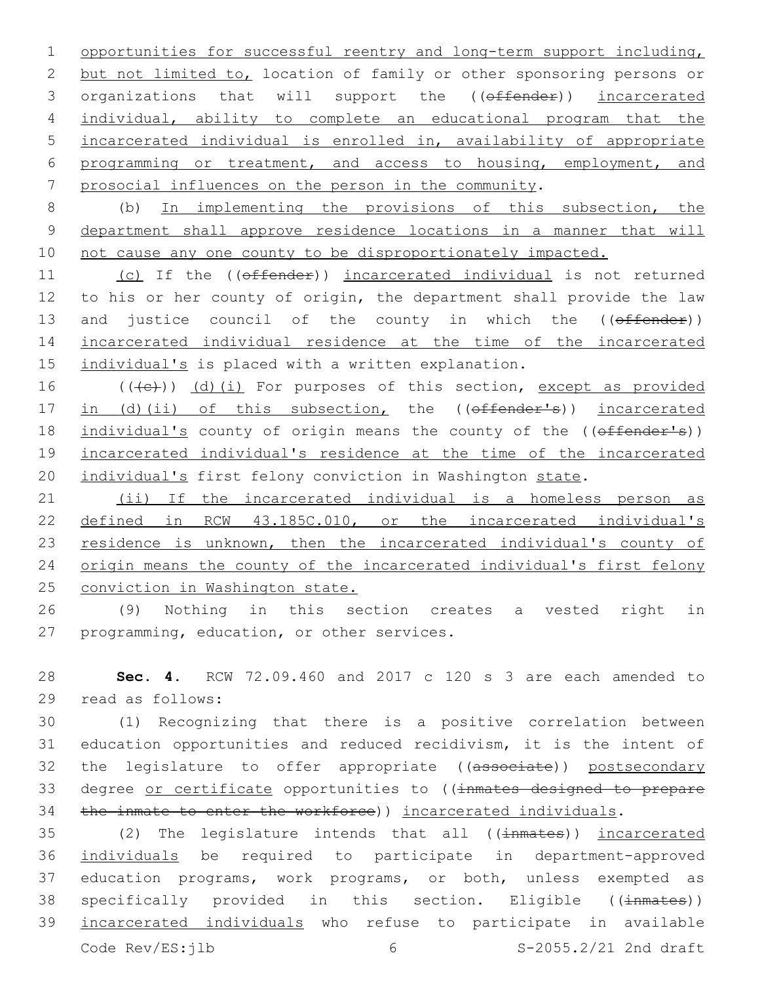opportunities for successful reentry and long-term support including, but not limited to, location of family or other sponsoring persons or 3 organizations that will support the ((offender)) incarcerated individual, ability to complete an educational program that the incarcerated individual is enrolled in, availability of appropriate programming or treatment, and access to housing, employment, and prosocial influences on the person in the community.

8 (b) In implementing the provisions of this subsection, the 9 department shall approve residence locations in a manner that will 10 not cause any one county to be disproportionately impacted.

11 (c) If the ((offender)) incarcerated individual is not returned 12 to his or her county of origin, the department shall provide the law 13 and justice council of the county in which the ((offender)) 14 incarcerated individual residence at the time of the incarcerated 15 individual's is placed with a written explanation.

16 (((e)) (d)(i) For purposes of this section, except as provided 17 in (d)(ii) of this subsection, the ((offender's)) incarcerated 18 individual's county of origin means the county of the ((offender's)) 19 incarcerated individual's residence at the time of the incarcerated 20 individual's first felony conviction in Washington state.

21 (ii) If the incarcerated individual is a homeless person as 22 defined in RCW 43.185C.010, or the incarcerated individual's 23 residence is unknown, then the incarcerated individual's county of 24 origin means the county of the incarcerated individual's first felony 25 conviction in Washington state.

26 (9) Nothing in this section creates a vested right in 27 programming, education, or other services.

28 **Sec. 4.** RCW 72.09.460 and 2017 c 120 s 3 are each amended to 29 read as follows:

30 (1) Recognizing that there is a positive correlation between 31 education opportunities and reduced recidivism, it is the intent of 32 the legislature to offer appropriate ((associate)) postsecondary 33 degree or certificate opportunities to ((inmates designed to prepare 34 the inmate to enter the workforce)) incarcerated individuals.

35 (2) The legislature intends that all ((inmates)) incarcerated 36 individuals be required to participate in department-approved 37 education programs, work programs, or both, unless exempted as 38 specifically provided in this section. Eligible ((inmates)) 39 incarcerated individuals who refuse to participate in available Code Rev/ES:jlb 6 S-2055.2/21 2nd draft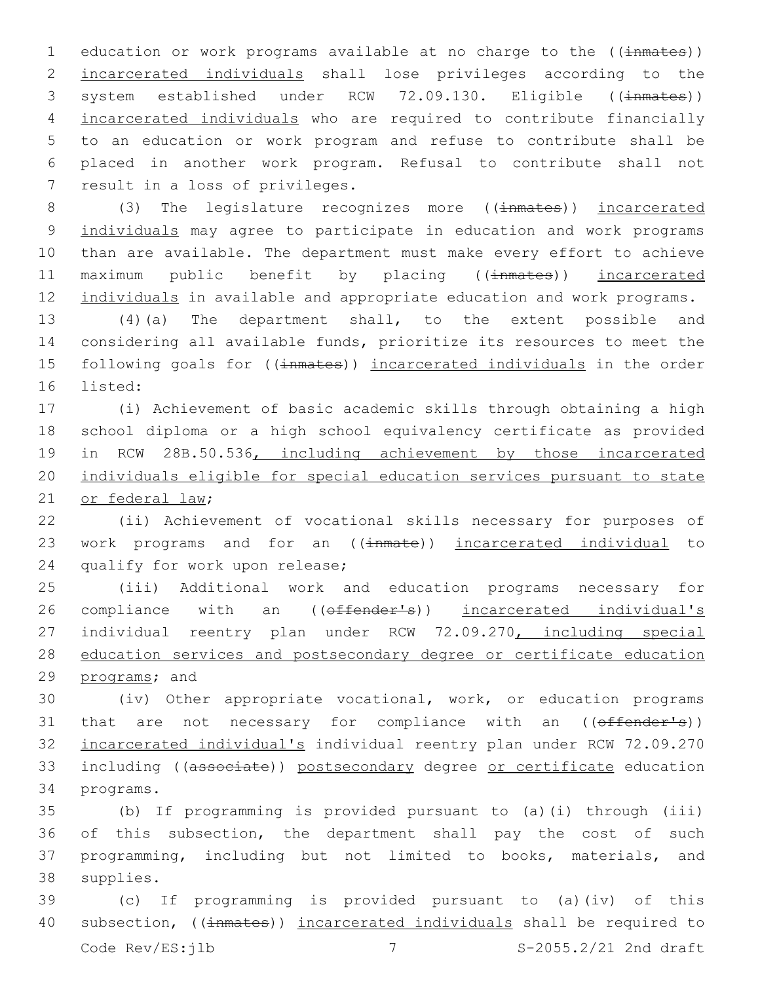1 education or work programs available at no charge to the ((inmates)) 2 incarcerated individuals shall lose privileges according to the 3 system established under RCW 72.09.130. Eligible ((inmates)) 4 incarcerated individuals who are required to contribute financially 5 to an education or work program and refuse to contribute shall be 6 placed in another work program. Refusal to contribute shall not 7 result in a loss of privileges.

8 (3) The legislature recognizes more ((inmates)) incarcerated 9 individuals may agree to participate in education and work programs 10 than are available. The department must make every effort to achieve 11 maximum public benefit by placing ((inmates)) incarcerated 12 individuals in available and appropriate education and work programs.

13 (4)(a) The department shall, to the extent possible and 14 considering all available funds, prioritize its resources to meet the 15 following goals for ((inmates)) incarcerated individuals in the order 16 listed:

17 (i) Achievement of basic academic skills through obtaining a high 18 school diploma or a high school equivalency certificate as provided 19 in RCW 28B.50.536, including achievement by those incarcerated 20 individuals eligible for special education services pursuant to state 21 or federal law;

22 (ii) Achievement of vocational skills necessary for purposes of 23 work programs and for an ((inmate)) incarcerated individual to 24 qualify for work upon release;

25 (iii) Additional work and education programs necessary for 26 compliance with an ((offender's)) incarcerated individual's 27 individual reentry plan under RCW 72.09.270, including special 28 education services and postsecondary degree or certificate education 29 programs; and

30 (iv) Other appropriate vocational, work, or education programs 31 that are not necessary for compliance with an (( $\theta$ ffender's)) 32 incarcerated individual's individual reentry plan under RCW 72.09.270 33 including ((associate)) postsecondary degree or certificate education 34 programs.

 (b) If programming is provided pursuant to (a)(i) through (iii) of this subsection, the department shall pay the cost of such programming, including but not limited to books, materials, and 38 supplies.

39 (c) If programming is provided pursuant to (a)(iv) of this 40 subsection, ((inmates)) incarcerated individuals shall be required to Code  $Rev/ES: jlb$  7  $S-2055.2/21$  2nd draft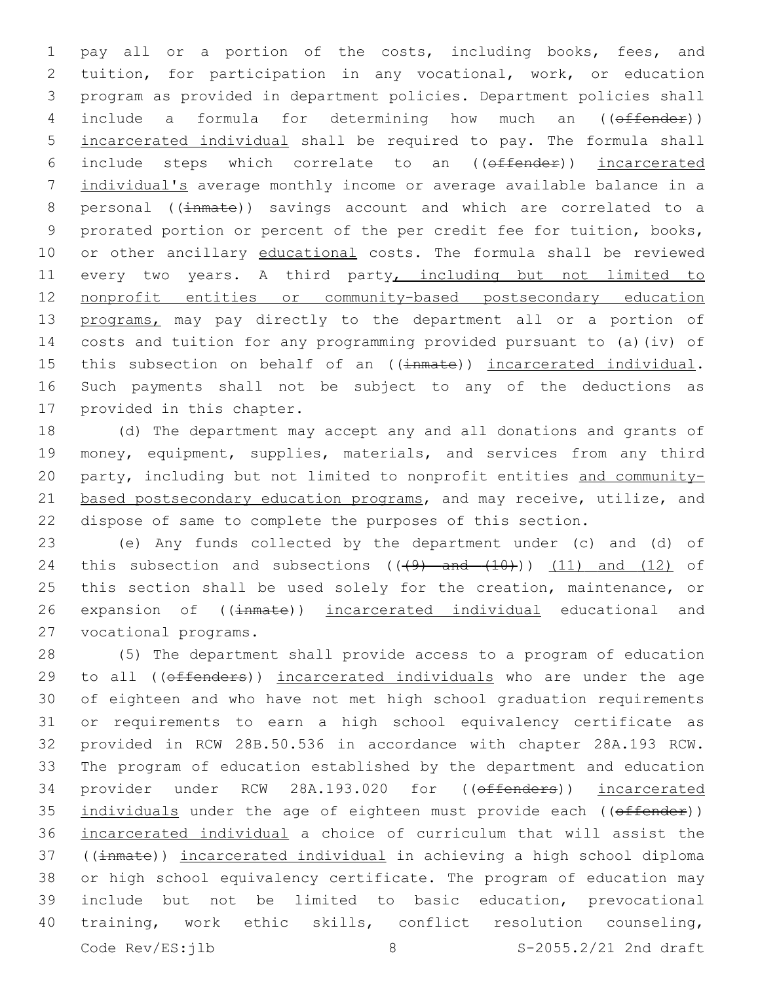1 pay all or a portion of the costs, including books, fees, and 2 tuition, for participation in any vocational, work, or education 3 program as provided in department policies. Department policies shall 4 include a formula for determining how much an ((offender)) 5 incarcerated individual shall be required to pay. The formula shall 6 include steps which correlate to an ((offender)) incarcerated 7 individual's average monthly income or average available balance in a 8 personal ((inmate)) savings account and which are correlated to a 9 prorated portion or percent of the per credit fee for tuition, books, 10 or other ancillary educational costs. The formula shall be reviewed 11 every two years. A third party, including but not limited to 12 nonprofit entities or community-based postsecondary education 13 programs, may pay directly to the department all or a portion of 14 costs and tuition for any programming provided pursuant to (a)(iv) of 15 this subsection on behalf of an ((inmate)) incarcerated individual. 16 Such payments shall not be subject to any of the deductions as 17 provided in this chapter.

18 (d) The department may accept any and all donations and grants of 19 money, equipment, supplies, materials, and services from any third 20 party, including but not limited to nonprofit entities and community-21 based postsecondary education programs, and may receive, utilize, and 22 dispose of same to complete the purposes of this section.

23 (e) Any funds collected by the department under (c) and (d) of 24 this subsection and subsections  $((+9)$  and  $(+10)$ )  $(11)$  and  $(12)$  of 25 this section shall be used solely for the creation, maintenance, or 26 expansion of ((inmate)) incarcerated individual educational and 27 vocational programs.

 (5) The department shall provide access to a program of education 29 to all ((offenders)) incarcerated individuals who are under the age of eighteen and who have not met high school graduation requirements or requirements to earn a high school equivalency certificate as provided in RCW 28B.50.536 in accordance with chapter 28A.193 RCW. The program of education established by the department and education 34 provider under RCW 28A.193.020 for ((effenders)) incarcerated 35 individuals under the age of eighteen must provide each ((offender)) incarcerated individual a choice of curriculum that will assist the 37 ((inmate)) incarcerated individual in achieving a high school diploma or high school equivalency certificate. The program of education may include but not be limited to basic education, prevocational training, work ethic skills, conflict resolution counseling, Code Rev/ES:jlb 8 8 S-2055.2/21 2nd draft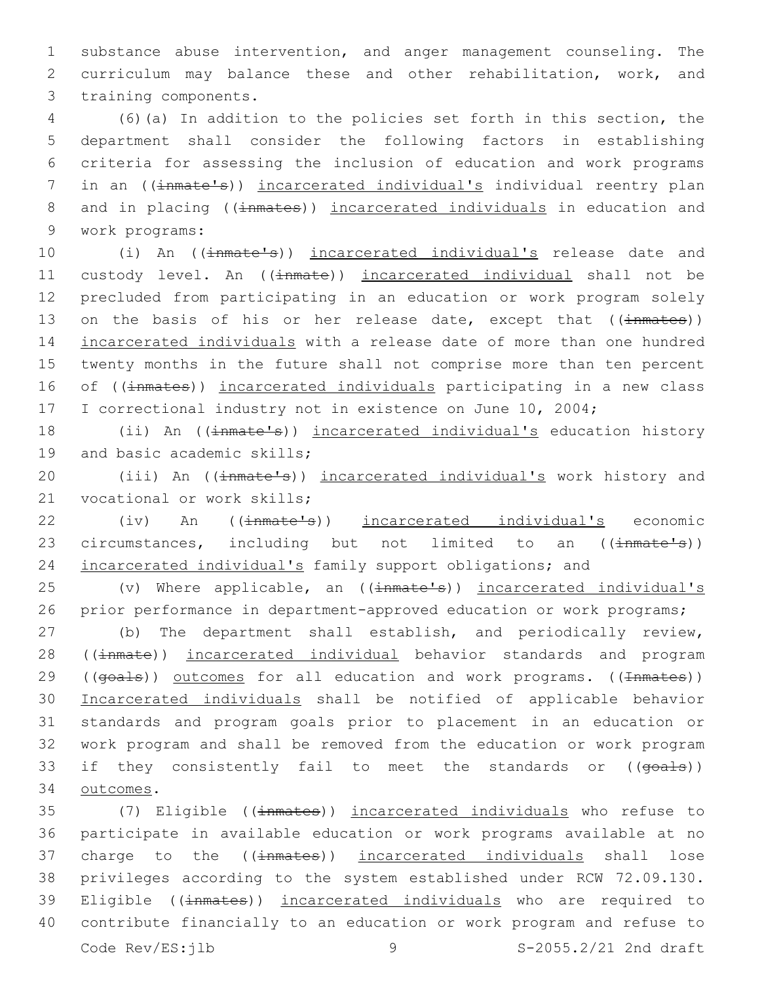1 substance abuse intervention, and anger management counseling. The 2 curriculum may balance these and other rehabilitation, work, and 3 training components.

4 (6)(a) In addition to the policies set forth in this section, the 5 department shall consider the following factors in establishing 6 criteria for assessing the inclusion of education and work programs 7 in an ((inmate's)) incarcerated individual's individual reentry plan 8 and in placing ((inmates)) incarcerated individuals in education and work programs:9

10 (i) An (( $\frac{1}{2}$ mate's)) incarcerated individual's release date and 11 custody level. An ((inmate)) incarcerated individual shall not be 12 precluded from participating in an education or work program solely 13 on the basis of his or her release date, except that ((inmates)) 14 incarcerated individuals with a release date of more than one hundred 15 twenty months in the future shall not comprise more than ten percent 16 of ((inmates)) incarcerated individuals participating in a new class 17 I correctional industry not in existence on June 10, 2004;

18 (ii) An ((inmate's)) incarcerated individual's education history 19 and basic academic skills;

20 (iii) An ((inmate's)) incarcerated individual's work history and 21 vocational or work skills;

22 (iv) An (( $\frac{1}{2}$  (iv) An (( $\frac{1}{2}$ )) incarcerated individual's economic 23 circumstances, including but not limited to an (( $\frac{1}{2}$ mate<sup>1</sup>s)) 24 incarcerated individual's family support obligations; and

25 (v) Where applicable, an ((inmate's)) incarcerated individual's 26 prior performance in department-approved education or work programs;

27 (b) The department shall establish, and periodically review, 28 ((inmate)) incarcerated individual behavior standards and program 29 ((goals)) outcomes for all education and work programs. ((Inmates)) 30 Incarcerated individuals shall be notified of applicable behavior 31 standards and program goals prior to placement in an education or 32 work program and shall be removed from the education or work program 33 if they consistently fail to meet the standards or ((goals)) 34 outcomes.

35 (7) Eligible ((inmates)) incarcerated individuals who refuse to 36 participate in available education or work programs available at no 37 charge to the ((inmates)) incarcerated individuals shall lose 38 privileges according to the system established under RCW 72.09.130. 39 Eligible ((inmates)) incarcerated individuals who are required to 40 contribute financially to an education or work program and refuse to Code Rev/ES:jlb 9 S-2055.2/21 2nd draft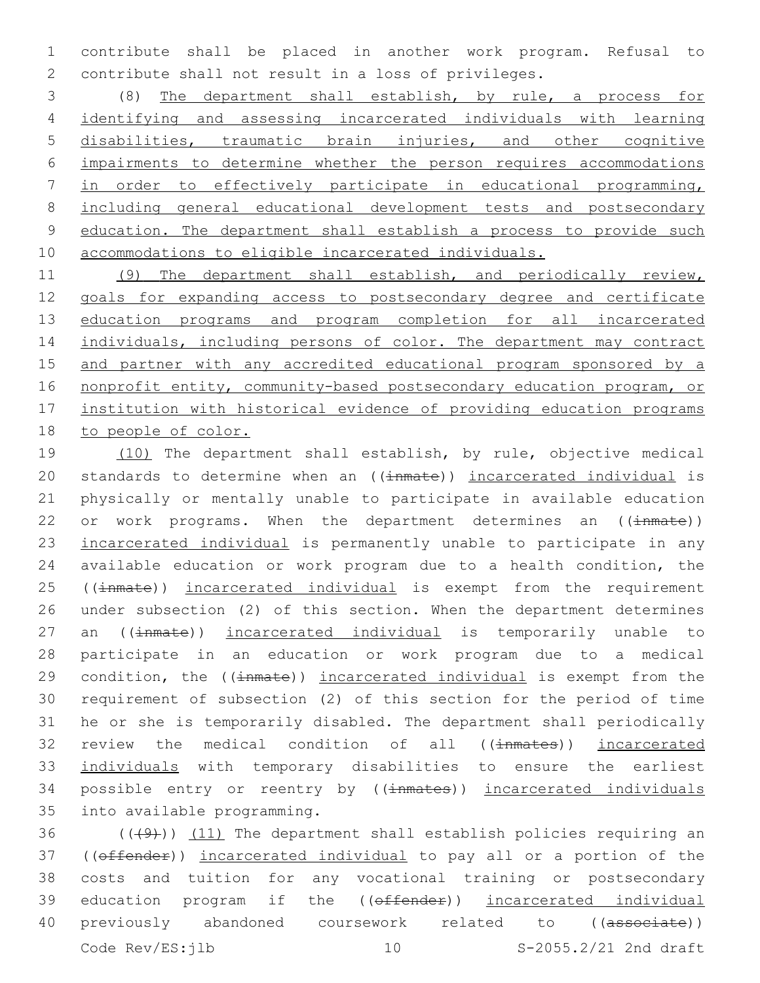contribute shall be placed in another work program. Refusal to contribute shall not result in a loss of privileges.

 (8) The department shall establish, by rule, a process for identifying and assessing incarcerated individuals with learning disabilities, traumatic brain injuries, and other cognitive impairments to determine whether the person requires accommodations in order to effectively participate in educational programming, including general educational development tests and postsecondary education. The department shall establish a process to provide such accommodations to eligible incarcerated individuals.

 (9) The department shall establish, and periodically review, goals for expanding access to postsecondary degree and certificate 13 education programs and program completion for all incarcerated 14 individuals, including persons of color. The department may contract and partner with any accredited educational program sponsored by a nonprofit entity, community-based postsecondary education program, or institution with historical evidence of providing education programs to people of color.

19 (10) The department shall establish, by rule, objective medical 20 standards to determine when an ((inmate)) incarcerated individual is physically or mentally unable to participate in available education 22 or work programs. When the department determines an  $((\text{immate}))$ 23 incarcerated individual is permanently unable to participate in any available education or work program due to a health condition, the 25 ((inmate)) incarcerated individual is exempt from the requirement under subsection (2) of this section. When the department determines 27 an ((inmate)) incarcerated individual is temporarily unable to participate in an education or work program due to a medical 29 condition, the ((inmate)) incarcerated individual is exempt from the requirement of subsection (2) of this section for the period of time he or she is temporarily disabled. The department shall periodically 32 review the medical condition of all ((inmates)) incarcerated individuals with temporary disabilities to ensure the earliest 34 possible entry or reentry by ((inmates)) incarcerated individuals 35 into available programming.

36  $((+9)$ )  $(11)$  The department shall establish policies requiring an ((offender)) incarcerated individual to pay all or a portion of the costs and tuition for any vocational training or postsecondary 39 education program if the ((offender)) incarcerated individual 40 previously abandoned coursework related to ((associate)) Code Rev/ES:jlb 10 S-2055.2/21 2nd draft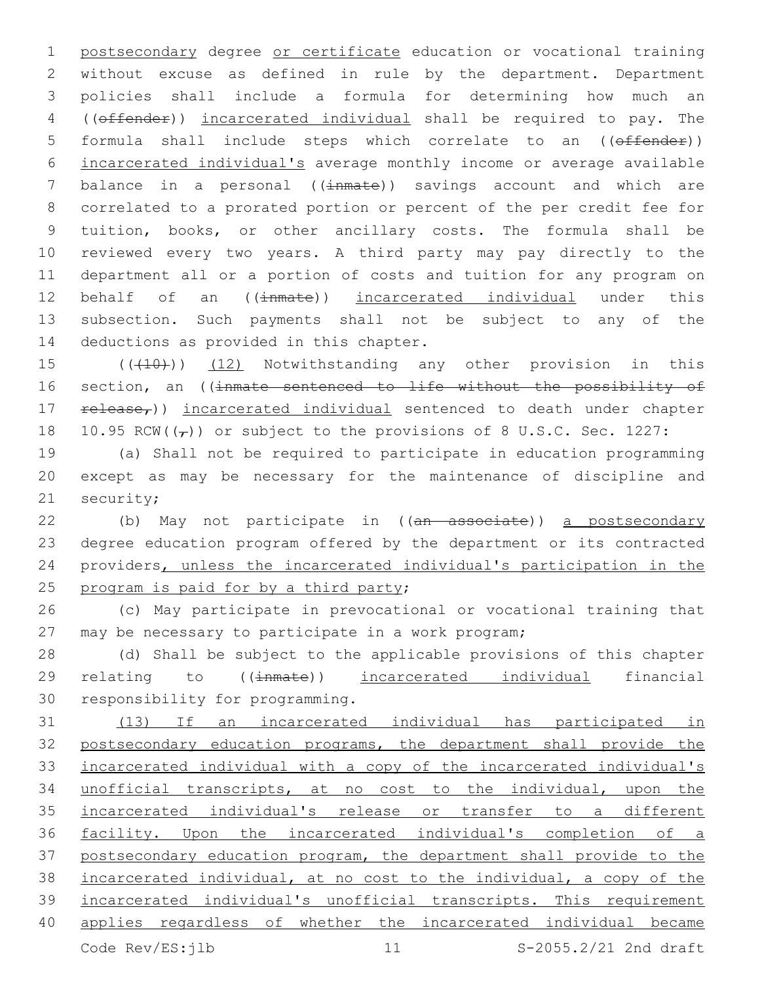postsecondary degree or certificate education or vocational training without excuse as defined in rule by the department. Department policies shall include a formula for determining how much an ((offender)) incarcerated individual shall be required to pay. The formula shall include steps which correlate to an ((offender)) incarcerated individual's average monthly income or average available 7 balance in a personal ((inmate)) savings account and which are correlated to a prorated portion or percent of the per credit fee for tuition, books, or other ancillary costs. The formula shall be reviewed every two years. A third party may pay directly to the department all or a portion of costs and tuition for any program on 12 behalf of an ((inmate)) incarcerated individual under this subsection. Such payments shall not be subject to any of the 14 deductions as provided in this chapter.

15 (((410)) (12) Notwithstanding any other provision in this 16 section, an ((inmate sentenced to life without the possibility of 17 release<sub>r</sub>)) incarcerated individual sentenced to death under chapter 18 10.95 RCW( $(\tau)$ ) or subject to the provisions of 8 U.S.C. Sec. 1227:

 (a) Shall not be required to participate in education programming except as may be necessary for the maintenance of discipline and 21 security;

22 (b) May not participate in ((an associate)) a postsecondary degree education program offered by the department or its contracted providers, unless the incarcerated individual's participation in the 25 program is paid for by a third party;

 (c) May participate in prevocational or vocational training that may be necessary to participate in a work program;

 (d) Shall be subject to the applicable provisions of this chapter 29 relating to ((inmate)) incarcerated individual financial 30 responsibility for programming.

 (13) If an incarcerated individual has participated in postsecondary education programs, the department shall provide the incarcerated individual with a copy of the incarcerated individual's unofficial transcripts, at no cost to the individual, upon the incarcerated individual's release or transfer to a different facility. Upon the incarcerated individual's completion of a postsecondary education program, the department shall provide to the incarcerated individual, at no cost to the individual, a copy of the incarcerated individual's unofficial transcripts. This requirement applies regardless of whether the incarcerated individual became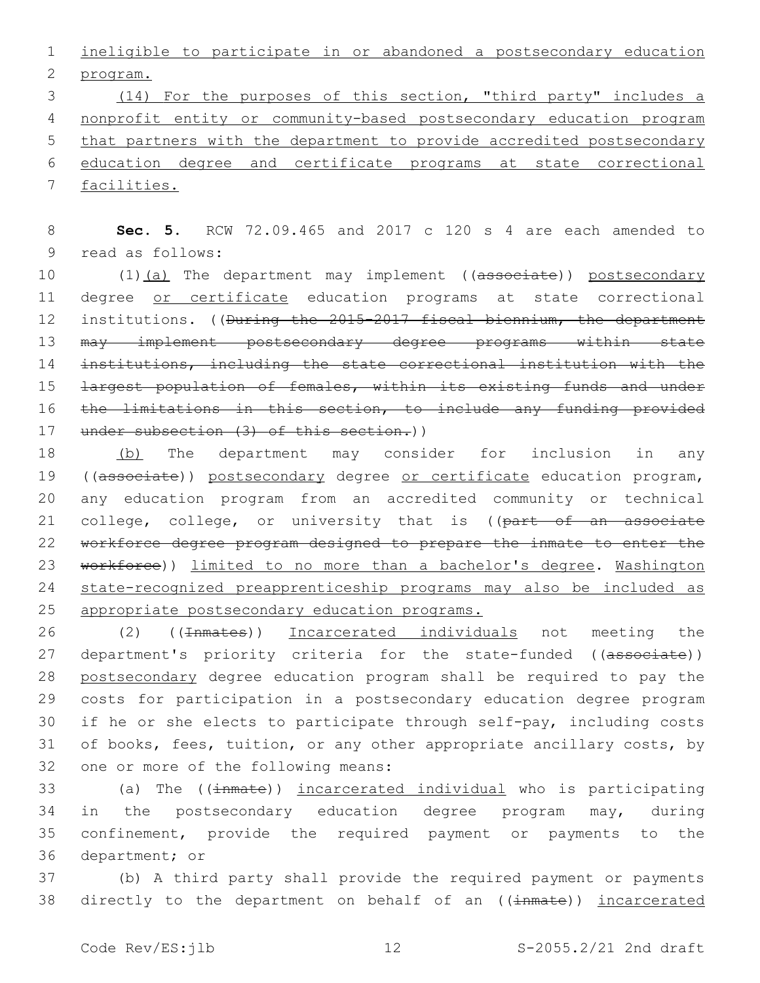1 ineligible to participate in or abandoned a postsecondary education 2 program.

 (14) For the purposes of this section, "third party" includes a nonprofit entity or community-based postsecondary education program 5 that partners with the department to provide accredited postsecondary education degree and certificate programs at state correctional facilities.

8 **Sec. 5.** RCW 72.09.465 and 2017 c 120 s 4 are each amended to 9 read as follows:

10 (1)(a) The department may implement ((associate)) postsecondary 11 degree or certificate education programs at state correctional 12 institutions. ((<del>During the 2015-2017 fiscal biennium, the department</del> 13 may implement postsecondary degree programs within state 14 institutions, including the state correctional institution with the 15 <del>largest population of females, within its existing funds and under</del> 16 the limitations in this section, to include any funding provided 17 under subsection (3) of this section.))

18 (b) The department may consider for inclusion in any 19 ((associate)) postsecondary degree or certificate education program, 20 any education program from an accredited community or technical 21 college, college, or university that is ((part of an associate 22 workforce degree program designed to prepare the inmate to enter the 23 workforce)) limited to no more than a bachelor's degree. Washington 24 state-recognized preapprenticeship programs may also be included as 25 appropriate postsecondary education programs.

26 (2) ((<del>Inmates</del>)) Incarcerated individuals not meeting the 27 department's priority criteria for the state-funded ((associate)) 28 postsecondary degree education program shall be required to pay the 29 costs for participation in a postsecondary education degree program 30 if he or she elects to participate through self-pay, including costs 31 of books, fees, tuition, or any other appropriate ancillary costs, by 32 one or more of the following means:

 (a) The ((inmate)) incarcerated individual who is participating in the postsecondary education degree program may, during confinement, provide the required payment or payments to the 36 department; or

37 (b) A third party shall provide the required payment or payments 38 directly to the department on behalf of an ((inmate)) incarcerated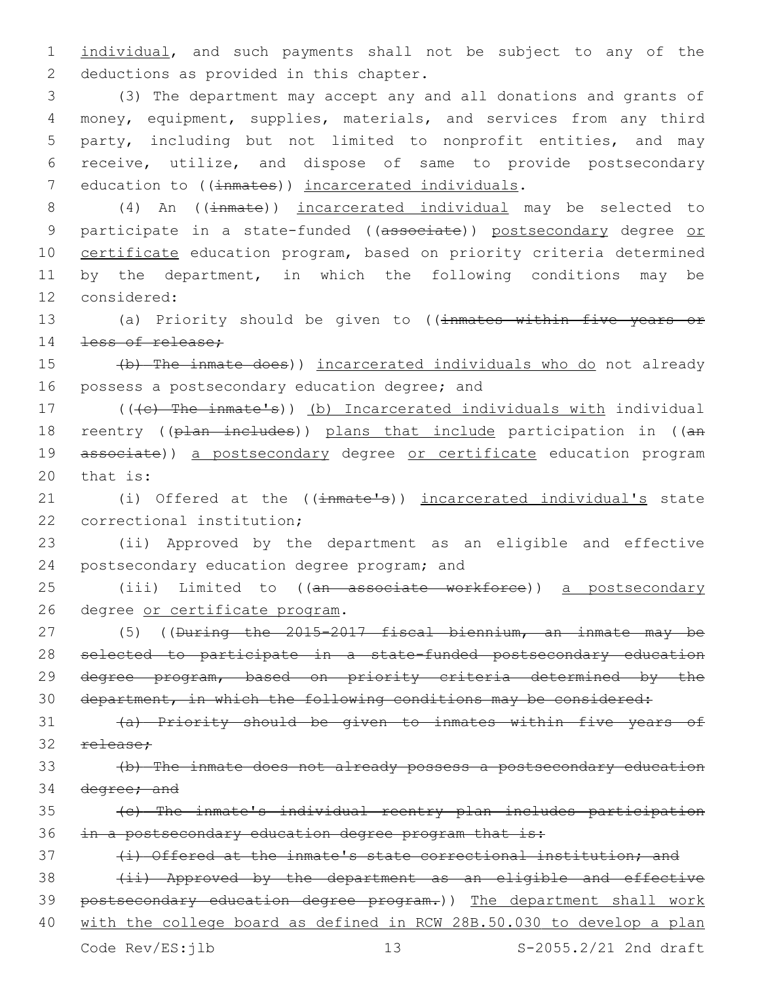1 individual, and such payments shall not be subject to any of the 2 deductions as provided in this chapter.

 (3) The department may accept any and all donations and grants of money, equipment, supplies, materials, and services from any third party, including but not limited to nonprofit entities, and may receive, utilize, and dispose of same to provide postsecondary 7 education to ((inmates)) incarcerated individuals.

8 (4) An ((inmate)) incarcerated individual may be selected to 9 participate in a state-funded ((associate)) postsecondary degree or 10 certificate education program, based on priority criteria determined 11 by the department, in which the following conditions may be 12 considered:

13 (a) Priority should be given to ((inmates within five years or 14 <del>less of release;</del>

15 (b) The inmate does)) incarcerated individuals who do not already 16 possess a postsecondary education degree; and

17 (((c) The inmate's)) (b) Incarcerated individuals with individual 18 reentry ((plan includes)) plans that include participation in ((an 19 associate)) a postsecondary degree or certificate education program  $20$  that is:

21 (i) Offered at the ((inmate's)) incarcerated individual's state 22 correctional institution;

23 (ii) Approved by the department as an eligible and effective 24 postsecondary education degree program; and

25 (iii) Limited to ((an associate workforce)) a postsecondary 26 degree or certificate program.

 (5) ((During the 2015-2017 fiscal biennium, an inmate may be selected to participate in a state-funded postsecondary education 29 degree program, based on priority criteria determined by the department, in which the following conditions may be considered:

31 (a) Priority should be given to inmates within five years of 32 release:

33 (b) The inmate does not already possess a postsecondary education 34 degree; and

35 (c) The inmate's individual reentry plan includes participation 36 in a postsecondary education degree program that is:

37 (i) Offered at the inmate's state correctional institution; and

38 (ii) Approved by the department as an eligible and effective 39 postsecondary education degree program.)) The department shall work

40 with the college board as defined in RCW 28B.50.030 to develop a plan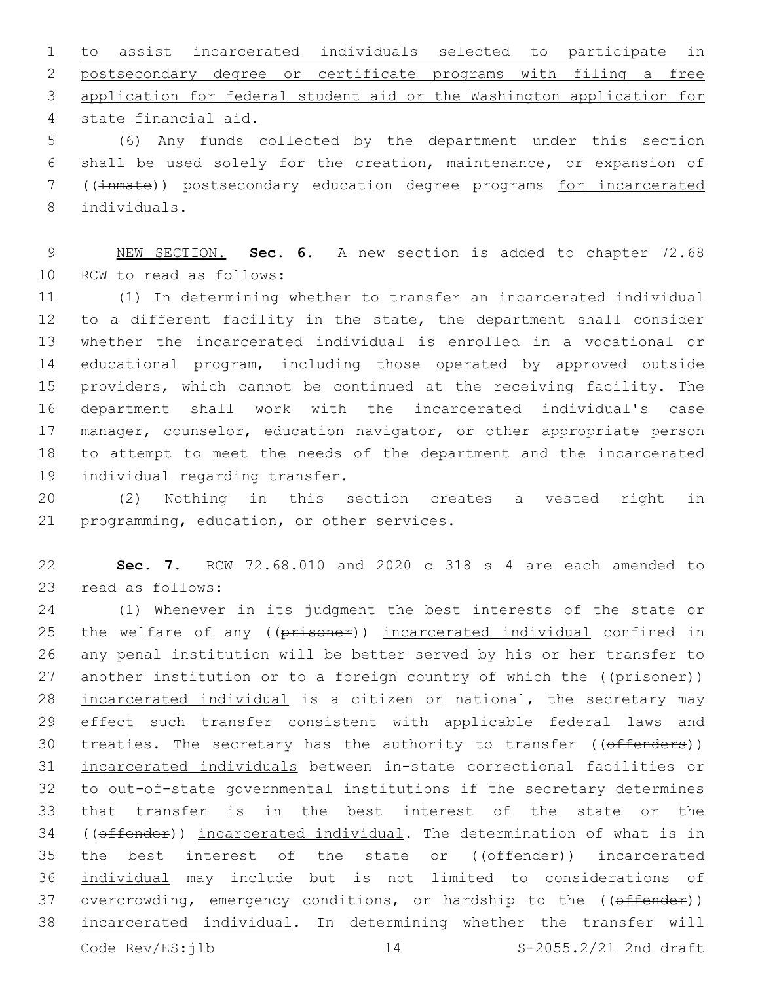to assist incarcerated individuals selected to participate in postsecondary degree or certificate programs with filing a free application for federal student aid or the Washington application for state financial aid.4

 (6) Any funds collected by the department under this section shall be used solely for the creation, maintenance, or expansion of ((inmate)) postsecondary education degree programs for incarcerated 8 individuals.

 NEW SECTION. **Sec. 6.** A new section is added to chapter 72.68 10 RCW to read as follows:

 (1) In determining whether to transfer an incarcerated individual to a different facility in the state, the department shall consider whether the incarcerated individual is enrolled in a vocational or educational program, including those operated by approved outside providers, which cannot be continued at the receiving facility. The department shall work with the incarcerated individual's case 17 manager, counselor, education navigator, or other appropriate person to attempt to meet the needs of the department and the incarcerated 19 individual regarding transfer.

 (2) Nothing in this section creates a vested right in 21 programming, education, or other services.

 **Sec. 7.** RCW 72.68.010 and 2020 c 318 s 4 are each amended to 23 read as follows:

 (1) Whenever in its judgment the best interests of the state or 25 the welfare of any ((prisoner)) incarcerated individual confined in any penal institution will be better served by his or her transfer to 27 another institution or to a foreign country of which the ((prisoner)) 28 incarcerated individual is a citizen or national, the secretary may effect such transfer consistent with applicable federal laws and 30 treaties. The secretary has the authority to transfer ((offenders)) incarcerated individuals between in-state correctional facilities or to out-of-state governmental institutions if the secretary determines that transfer is in the best interest of the state or the 34 ((offender)) incarcerated individual. The determination of what is in 35 the best interest of the state or (( $\theta$ ffender)) incarcerated individual may include but is not limited to considerations of 37 overcrowding, emergency conditions, or hardship to the ((offender)) incarcerated individual. In determining whether the transfer will Code Rev/ES:jlb 14 S-2055.2/21 2nd draft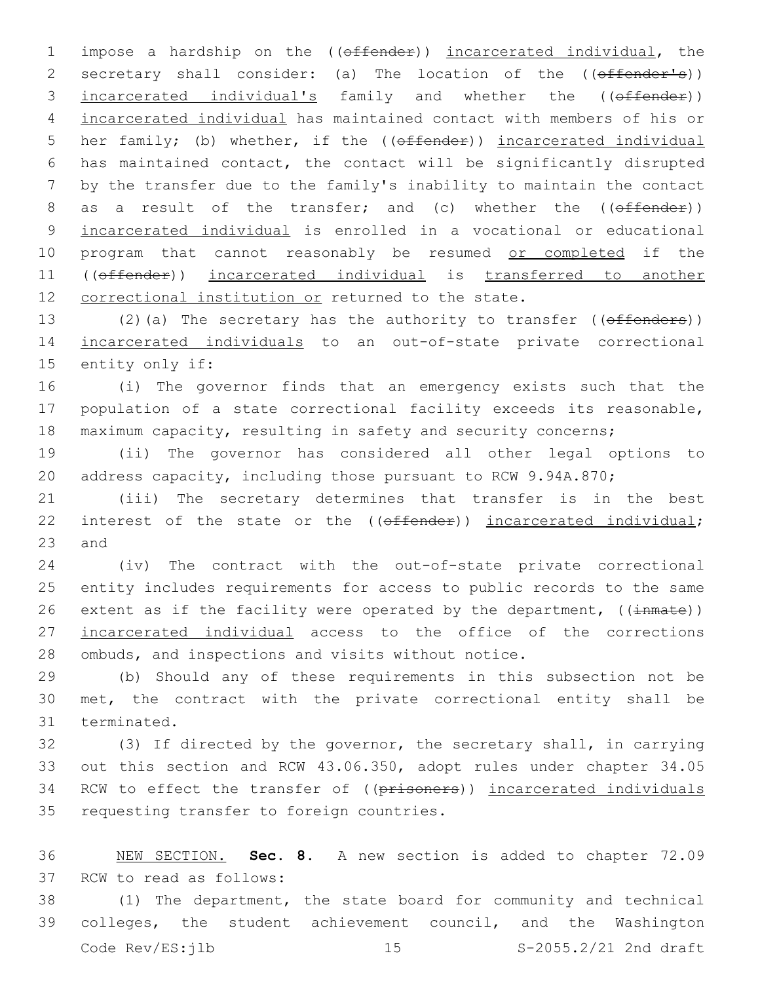1 impose a hardship on the ((offender)) incarcerated individual, the 2 secretary shall consider: (a) The location of the ((offender's)) 3 incarcerated individual's family and whether the ((offender)) 4 incarcerated individual has maintained contact with members of his or 5 her family; (b) whether, if the ((offender)) incarcerated individual 6 has maintained contact, the contact will be significantly disrupted 7 by the transfer due to the family's inability to maintain the contact 8 as a result of the transfer; and (c) whether the ((offender)) 9 incarcerated individual is enrolled in a vocational or educational 10 program that cannot reasonably be resumed or completed if the 11 ((offender)) incarcerated individual is transferred to another 12 correctional institution or returned to the state.

13 (2)(a) The secretary has the authority to transfer ((offenders)) 14 incarcerated individuals to an out-of-state private correctional 15 entity only if:

16 (i) The governor finds that an emergency exists such that the 17 population of a state correctional facility exceeds its reasonable, 18 maximum capacity, resulting in safety and security concerns;

19 (ii) The governor has considered all other legal options to 20 address capacity, including those pursuant to RCW 9.94A.870;

21 (iii) The secretary determines that transfer is in the best 22 interest of the state or the ((offender)) incarcerated individual;  $23$  and

24 (iv) The contract with the out-of-state private correctional 25 entity includes requirements for access to public records to the same 26 extent as if the facility were operated by the department,  $((\text{immate}))$ 27 incarcerated individual access to the office of the corrections 28 ombuds, and inspections and visits without notice.

29 (b) Should any of these requirements in this subsection not be 30 met, the contract with the private correctional entity shall be 31 terminated.

32 (3) If directed by the governor, the secretary shall, in carrying 33 out this section and RCW 43.06.350, adopt rules under chapter 34.05 34 RCW to effect the transfer of ((prisoners)) incarcerated individuals 35 requesting transfer to foreign countries.

36 NEW SECTION. **Sec. 8.** A new section is added to chapter 72.09 37 RCW to read as follows:

38 (1) The department, the state board for community and technical 39 colleges, the student achievement council, and the Washington Code Rev/ES: jlb 15 S-2055.2/21 2nd draft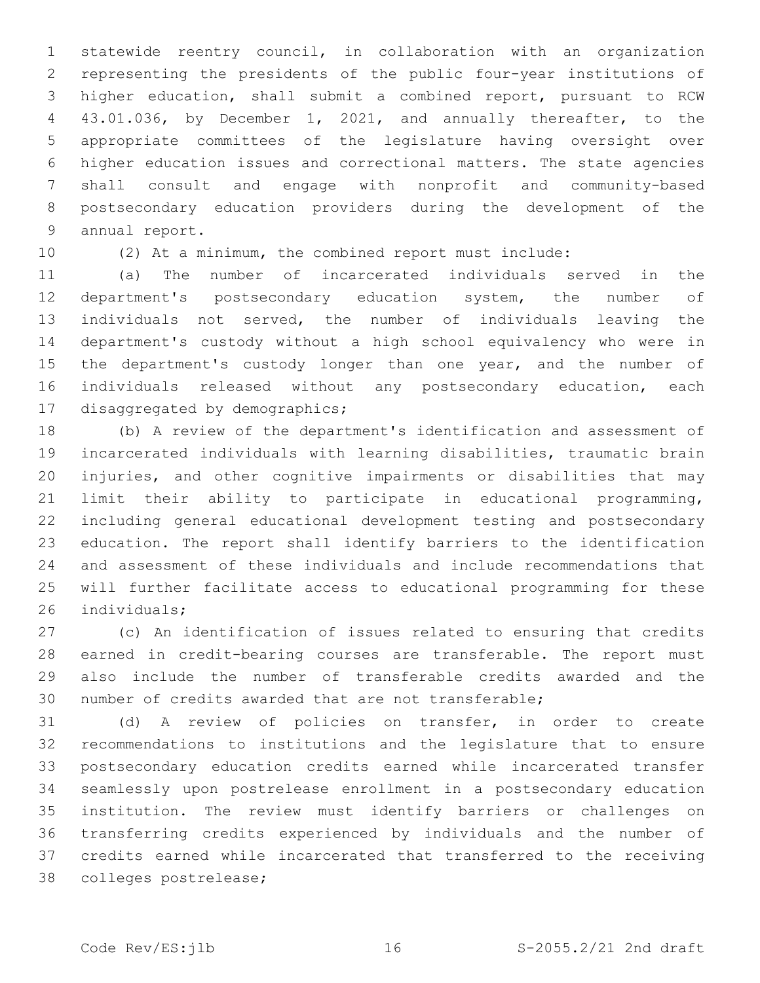statewide reentry council, in collaboration with an organization representing the presidents of the public four-year institutions of higher education, shall submit a combined report, pursuant to RCW 43.01.036, by December 1, 2021, and annually thereafter, to the appropriate committees of the legislature having oversight over higher education issues and correctional matters. The state agencies shall consult and engage with nonprofit and community-based postsecondary education providers during the development of the 9 annual report.

(2) At a minimum, the combined report must include:

 (a) The number of incarcerated individuals served in the department's postsecondary education system, the number of individuals not served, the number of individuals leaving the department's custody without a high school equivalency who were in 15 the department's custody longer than one year, and the number of individuals released without any postsecondary education, each 17 disaggregated by demographics;

 (b) A review of the department's identification and assessment of incarcerated individuals with learning disabilities, traumatic brain injuries, and other cognitive impairments or disabilities that may limit their ability to participate in educational programming, including general educational development testing and postsecondary education. The report shall identify barriers to the identification and assessment of these individuals and include recommendations that will further facilitate access to educational programming for these 26 individuals;

 (c) An identification of issues related to ensuring that credits earned in credit-bearing courses are transferable. The report must also include the number of transferable credits awarded and the number of credits awarded that are not transferable;

 (d) A review of policies on transfer, in order to create recommendations to institutions and the legislature that to ensure postsecondary education credits earned while incarcerated transfer seamlessly upon postrelease enrollment in a postsecondary education institution. The review must identify barriers or challenges on transferring credits experienced by individuals and the number of credits earned while incarcerated that transferred to the receiving 38 colleges postrelease;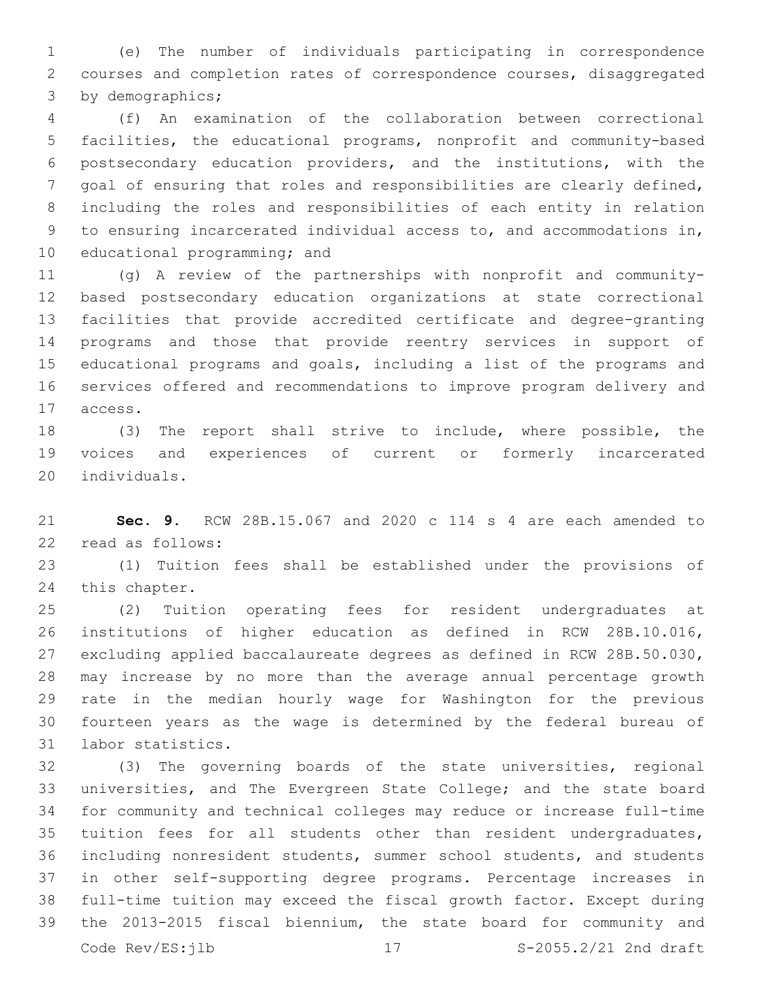(e) The number of individuals participating in correspondence courses and completion rates of correspondence courses, disaggregated 3 by demographics;

 (f) An examination of the collaboration between correctional facilities, the educational programs, nonprofit and community-based postsecondary education providers, and the institutions, with the goal of ensuring that roles and responsibilities are clearly defined, including the roles and responsibilities of each entity in relation to ensuring incarcerated individual access to, and accommodations in, 10 educational programming; and

 (g) A review of the partnerships with nonprofit and community- based postsecondary education organizations at state correctional facilities that provide accredited certificate and degree-granting programs and those that provide reentry services in support of educational programs and goals, including a list of the programs and services offered and recommendations to improve program delivery and 17 access.

 (3) The report shall strive to include, where possible, the voices and experiences of current or formerly incarcerated 20 individuals.

 **Sec. 9.** RCW 28B.15.067 and 2020 c 114 s 4 are each amended to read as follows:22

 (1) Tuition fees shall be established under the provisions of 24 this chapter.

 (2) Tuition operating fees for resident undergraduates at institutions of higher education as defined in RCW 28B.10.016, excluding applied baccalaureate degrees as defined in RCW 28B.50.030, may increase by no more than the average annual percentage growth rate in the median hourly wage for Washington for the previous fourteen years as the wage is determined by the federal bureau of 31 labor statistics.

 (3) The governing boards of the state universities, regional universities, and The Evergreen State College; and the state board for community and technical colleges may reduce or increase full-time tuition fees for all students other than resident undergraduates, including nonresident students, summer school students, and students in other self-supporting degree programs. Percentage increases in full-time tuition may exceed the fiscal growth factor. Except during the 2013-2015 fiscal biennium, the state board for community and Code Rev/ES: jlb 17 5-2055.2/21 2nd draft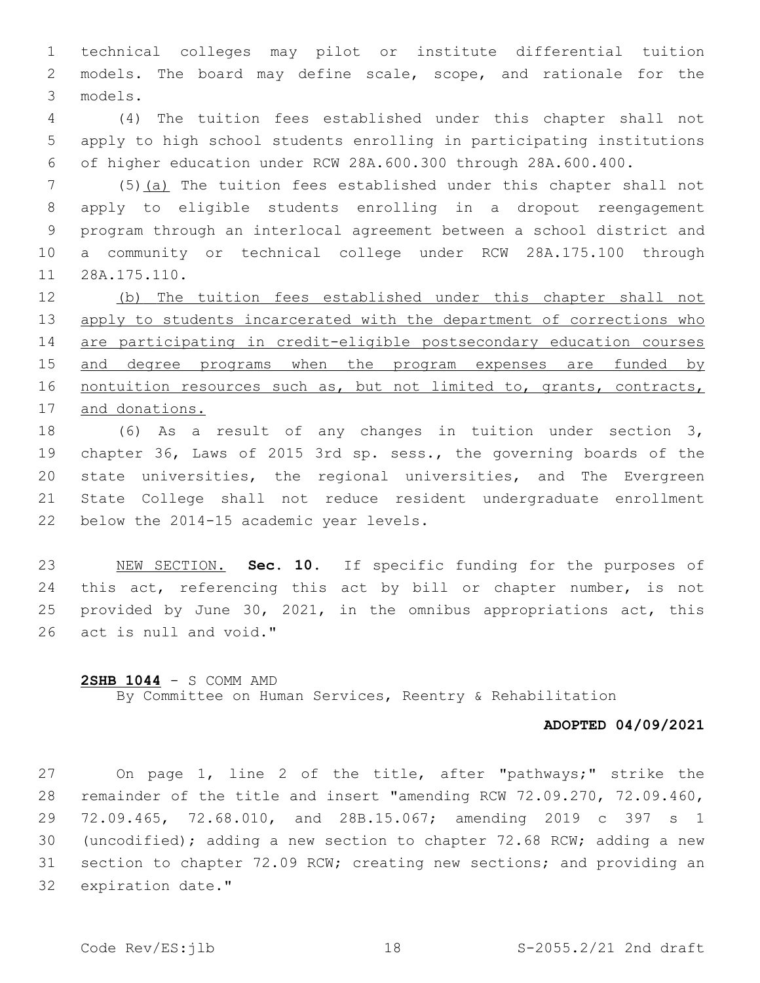technical colleges may pilot or institute differential tuition models. The board may define scale, scope, and rationale for the models.3

 (4) The tuition fees established under this chapter shall not apply to high school students enrolling in participating institutions of higher education under RCW 28A.600.300 through 28A.600.400.

 (5)(a) The tuition fees established under this chapter shall not apply to eligible students enrolling in a dropout reengagement program through an interlocal agreement between a school district and a community or technical college under RCW 28A.175.100 through 11 28A.175.110.

 (b) The tuition fees established under this chapter shall not 13 apply to students incarcerated with the department of corrections who are participating in credit-eligible postsecondary education courses and degree programs when the program expenses are funded by 16 nontuition resources such as, but not limited to, grants, contracts, and donations.

 (6) As a result of any changes in tuition under section 3, chapter 36, Laws of 2015 3rd sp. sess., the governing boards of the state universities, the regional universities, and The Evergreen State College shall not reduce resident undergraduate enrollment 22 below the 2014-15 academic year levels.

 NEW SECTION. **Sec. 10.** If specific funding for the purposes of 24 this act, referencing this act by bill or chapter number, is not provided by June 30, 2021, in the omnibus appropriations act, this act is null and void."

## **2SHB 1044** - S COMM AMD

By Committee on Human Services, Reentry & Rehabilitation

## **ADOPTED 04/09/2021**

 On page 1, line 2 of the title, after "pathways;" strike the remainder of the title and insert "amending RCW 72.09.270, 72.09.460, 72.09.465, 72.68.010, and 28B.15.067; amending 2019 c 397 s 1 (uncodified); adding a new section to chapter 72.68 RCW; adding a new section to chapter 72.09 RCW; creating new sections; and providing an 32 expiration date."